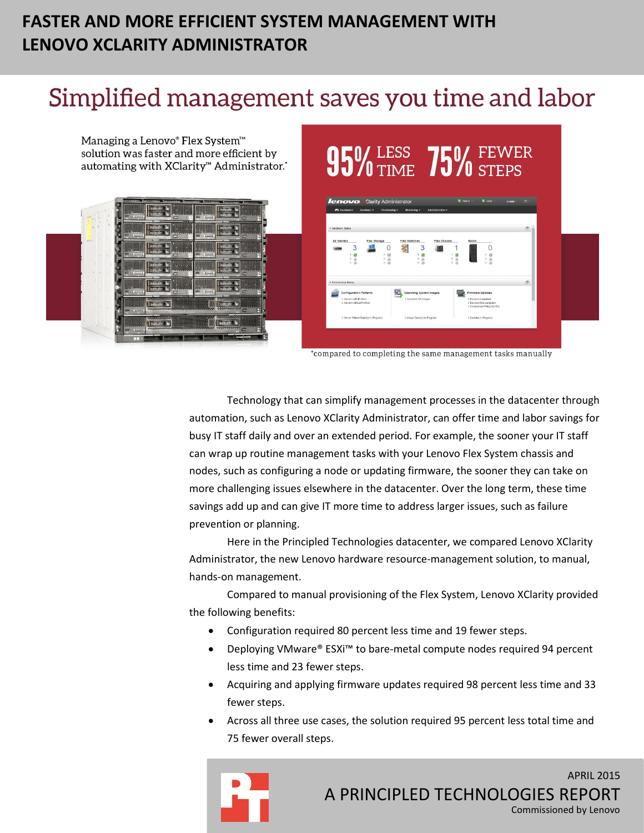## **FASTER AND MORE EFFICIENT SYSTEM MANAGEMENT WITH LENOVO XCLARITY ADMINISTRATOR**

## Simplified management saves you time and labor

Managing a Lenovo® Flex System™ solution was faster and more efficient by automating with XClarity™ Administrator.'



# $95\%$  Less 75 *lenovo* Clarity Administrator  $\theta$ Operating System Images

\*compared to completing the same management tasks manually

Technology that can simplify management processes in the datacenter through automation, such as Lenovo XClarity Administrator, can offer time and labor savings for busy IT staff daily and over an extended period. For example, the sooner your IT staff can wrap up routine management tasks with your Lenovo Flex System chassis and nodes, such as configuring a node or updating firmware, the sooner they can take on more challenging issues elsewhere in the datacenter. Over the long term, these time savings add up and can give IT more time to address larger issues, such as failure prevention or planning.

Here in the Principled Technologies datacenter, we compared Lenovo XClarity Administrator, the new Lenovo hardware resource-management solution, to manual, hands-on management.

Compared to manual provisioning of the Flex System, Lenovo XClarity provided the following benefits:

- Configuration required 80 percent less time and 19 fewer steps.
- Deploying VMware® ESXi™ to bare-metal compute nodes required 94 percent less time and 23 fewer steps.
- Acquiring and applying firmware updates required 98 percent less time and 33 fewer steps.
- Across all three use cases, the solution required 95 percent less total time and 75 fewer overall steps.



APRIL 2015 A PRINCIPLED TECHNOLOGIES REPORT Commissioned by Lenovo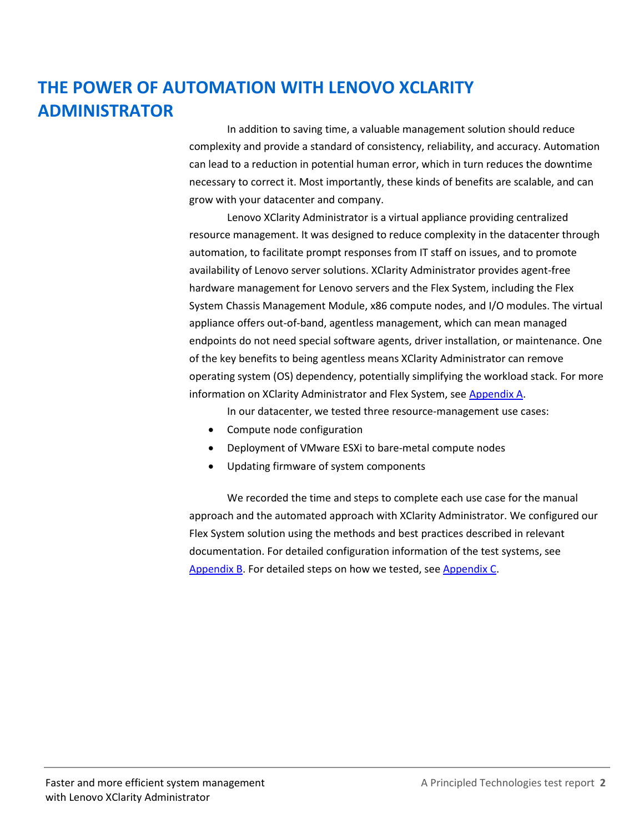## **THE POWER OF AUTOMATION WITH LENOVO XCLARITY ADMINISTRATOR**

In addition to saving time, a valuable management solution should reduce complexity and provide a standard of consistency, reliability, and accuracy. Automation can lead to a reduction in potential human error, which in turn reduces the downtime necessary to correct it. Most importantly, these kinds of benefits are scalable, and can grow with your datacenter and company.

Lenovo XClarity Administrator is a virtual appliance providing centralized resource management. It was designed to reduce complexity in the datacenter through automation, to facilitate prompt responses from IT staff on issues, and to promote availability of Lenovo server solutions. XClarity Administrator provides agent-free hardware management for Lenovo servers and the Flex System, including the Flex System Chassis Management Module, x86 compute nodes, and I/O modules. The virtual appliance offers out-of-band, agentless management, which can mean managed endpoints do not need special software agents, driver installation, or maintenance. One of the key benefits to being agentless means XClarity Administrator can remove operating system (OS) dependency, potentially simplifying the workload stack. For more information on XClarity Administrator and Flex System, see [Appendix A.](#page-9-0)

In our datacenter, we tested three resource-management use cases:

- Compute node configuration
- Deployment of VMware ESXi to bare-metal compute nodes
- Updating firmware of system components

We recorded the time and steps to complete each use case for the manual approach and the automated approach with XClarity Administrator. We configured our Flex System solution using the methods and best practices described in relevant documentation. For detailed configuration information of the test systems, see [Appendix B.](#page-10-0) For detailed steps on how we tested, see [Appendix C.](#page-12-0)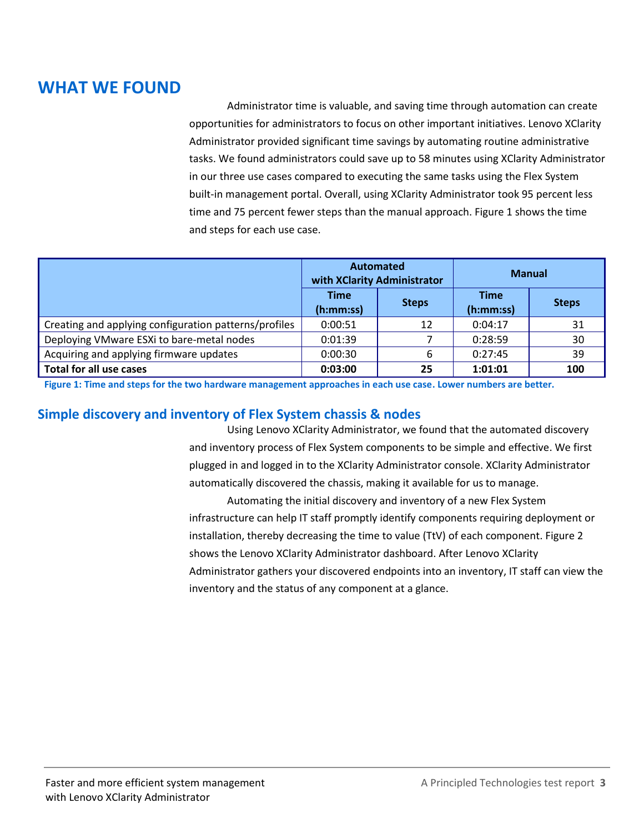## **WHAT WE FOUND**

Administrator time is valuable, and saving time through automation can create opportunities for administrators to focus on other important initiatives. Lenovo XClarity Administrator provided significant time savings by automating routine administrative tasks. We found administrators could save up to 58 minutes using XClarity Administrator in our three use cases compared to executing the same tasks using the Flex System built-in management portal. Overall, using XClarity Administrator took 95 percent less time and 75 percent fewer steps than the manual approach. Figure 1 shows the time and steps for each use case.

|                                                       | Automated<br>with XClarity Administrator |              | <b>Manual</b>            |              |
|-------------------------------------------------------|------------------------------------------|--------------|--------------------------|--------------|
|                                                       | <b>Time</b><br>(h:mm:ss)                 | <b>Steps</b> | <b>Time</b><br>(h:mm:ss) | <b>Steps</b> |
| Creating and applying configuration patterns/profiles | 0:00:51                                  | 12           | 0:04:17                  | 31           |
| Deploying VMware ESXi to bare-metal nodes             | 0:01:39                                  |              | 0:28:59                  | 30           |
| Acquiring and applying firmware updates               | 0:00:30                                  |              | 0:27:45                  | 39           |
| <b>Total for all use cases</b>                        | 0:03:00                                  | 25           | 1:01:01                  | 100          |

**Figure 1: Time and steps for the two hardware management approaches in each use case. Lower numbers are better.**

## **Simple discovery and inventory of Flex System chassis & nodes**

Using Lenovo XClarity Administrator, we found that the automated discovery and inventory process of Flex System components to be simple and effective. We first plugged in and logged in to the XClarity Administrator console. XClarity Administrator automatically discovered the chassis, making it available for us to manage.

Automating the initial discovery and inventory of a new Flex System infrastructure can help IT staff promptly identify components requiring deployment or installation, thereby decreasing the time to value (TtV) of each component. Figure 2 shows the Lenovo XClarity Administrator dashboard. After Lenovo XClarity Administrator gathers your discovered endpoints into an inventory, IT staff can view the inventory and the status of any component at a glance.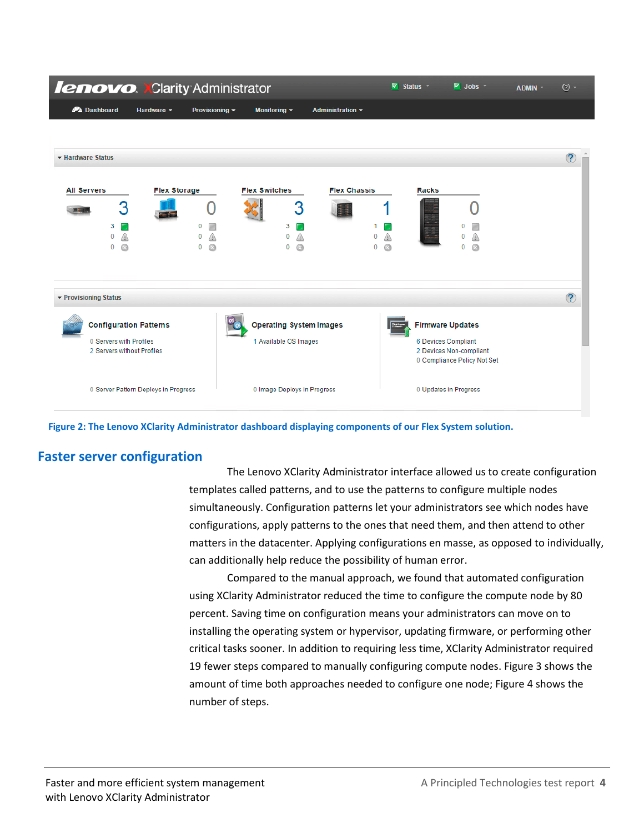| <b>lenovo. XClarity Administrator</b>                                                  |                                      |                         |                                                         |                         | v                              | Status <b>T</b> | $\triangledown$ Jobs $\triangledown$                                                                     | ADMIN * | $\odot$ -     |
|----------------------------------------------------------------------------------------|--------------------------------------|-------------------------|---------------------------------------------------------|-------------------------|--------------------------------|-----------------|----------------------------------------------------------------------------------------------------------|---------|---------------|
| <b>PA</b> Dashboard                                                                    | Hardware $\sim$                      | Provisioning ~          | Monitoring $\sim$                                       | <b>Administration ▼</b> |                                |                 |                                                                                                          |         |               |
|                                                                                        |                                      |                         |                                                         |                         |                                |                 |                                                                                                          |         |               |
| ▼ Hardware Status                                                                      |                                      |                         |                                                         |                         |                                |                 |                                                                                                          |         | $\circled{?}$ |
| <b>All Servers</b><br>3<br>3<br>0<br><br>Q<br>$\bf{0}$                                 | <b>Flex Storage</b>                  | 0<br>ж<br>Q<br>$\bf{0}$ | <b>Flex Switches</b><br>3<br>3<br>0<br>0<br>Q           | <b>Flex Chassis</b>     | ⚠<br>$\bf{0}$<br>a<br>$\bf{0}$ | <b>Racks</b>    | 0<br>Q                                                                                                   |         |               |
| ▼ Provisioning Status                                                                  |                                      |                         |                                                         |                         |                                |                 |                                                                                                          |         | $\circled{?}$ |
| <b>Configuration Patterns</b><br>0 Servers with Profiles<br>2 Servers without Profiles |                                      |                         | <b>Operating System Images</b><br>1 Available OS Images |                         |                                |                 | <b>Firmware Updates</b><br>6 Devices Compliant<br>2 Devices Non-compliant<br>0 Compliance Policy Not Set |         |               |
|                                                                                        | 0 Server Pattern Deploys in Progress |                         | 0 Image Deploys in Progress                             |                         |                                |                 | 0 Updates in Progress                                                                                    |         |               |

**Figure 2: The Lenovo XClarity Administrator dashboard displaying components of our Flex System solution.**

## **Faster server configuration**

The Lenovo XClarity Administrator interface allowed us to create configuration templates called patterns, and to use the patterns to configure multiple nodes simultaneously. Configuration patterns let your administrators see which nodes have configurations, apply patterns to the ones that need them, and then attend to other matters in the datacenter. Applying configurations en masse, as opposed to individually, can additionally help reduce the possibility of human error.

Compared to the manual approach, we found that automated configuration using XClarity Administrator reduced the time to configure the compute node by 80 percent. Saving time on configuration means your administrators can move on to installing the operating system or hypervisor, updating firmware, or performing other critical tasks sooner. In addition to requiring less time, XClarity Administrator required 19 fewer steps compared to manually configuring compute nodes. Figure 3 shows the amount of time both approaches needed to configure one node; Figure 4 shows the number of steps.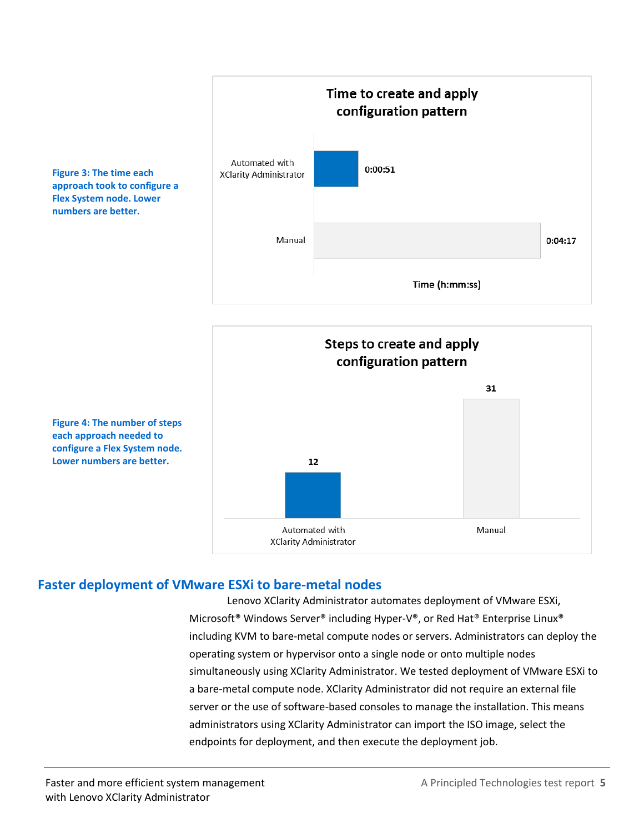

Steps to create and apply configuration pattern 31 12 Automated with Manual **XClarity Administrator** 

**Figure 3: The time each approach took to configure a Flex System node. Lower numbers are better.**

**Figure 4: The number of steps each approach needed to configure a Flex System node. Lower numbers are better.**

## **Faster deployment of VMware ESXi to bare-metal nodes**

Lenovo XClarity Administrator automates deployment of VMware ESXi, Microsoft® Windows Server® including Hyper-V®, or Red Hat® Enterprise Linux® including KVM to bare-metal compute nodes or servers. Administrators can deploy the operating system or hypervisor onto a single node or onto multiple nodes simultaneously using XClarity Administrator. We tested deployment of VMware ESXi to a bare-metal compute node. XClarity Administrator did not require an external file server or the use of software-based consoles to manage the installation. This means administrators using XClarity Administrator can import the ISO image, select the endpoints for deployment, and then execute the deployment job.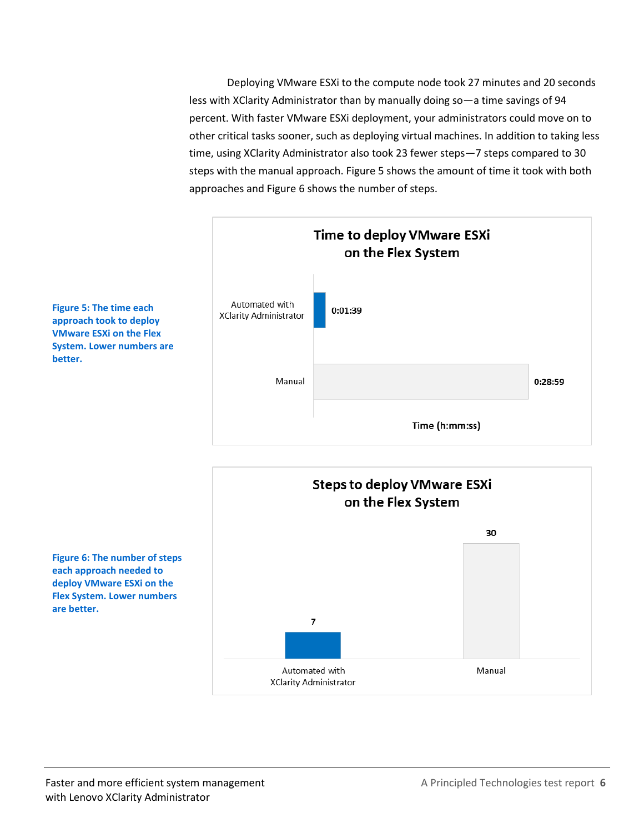Deploying VMware ESXi to the compute node took 27 minutes and 20 seconds less with XClarity Administrator than by manually doing so—a time savings of 94 percent. With faster VMware ESXi deployment, your administrators could move on to other critical tasks sooner, such as deploying virtual machines. In addition to taking less time, using XClarity Administrator also took 23 fewer steps—7 steps compared to 30 steps with the manual approach. Figure 5 shows the amount of time it took with both approaches and Figure 6 shows the number of steps.



**Figure 5: The time each approach took to deploy VMware ESXi on the Flex System. Lower numbers are better.**



**Figure 6: The number of steps each approach needed to deploy VMware ESXi on the Flex System. Lower numbers are better.**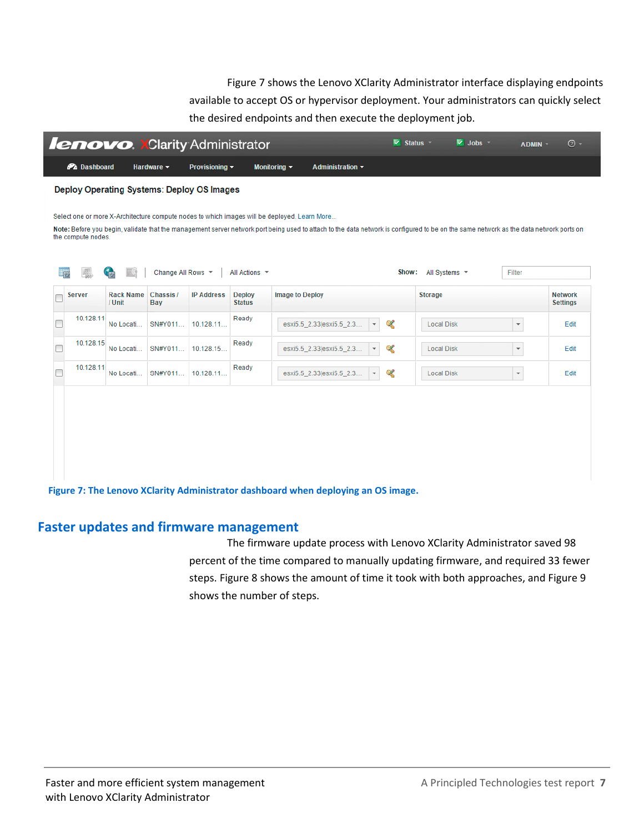Figure 7 shows the Lenovo XClarity Administrator interface displaying endpoints available to accept OS or hypervisor deployment. Your administrators can quickly select the desired endpoints and then execute the deployment job.



## **Faster updates and firmware management**

The firmware update process with Lenovo XClarity Administrator saved 98 percent of the time compared to manually updating firmware, and required 33 fewer steps. Figure 8 shows the amount of time it took with both approaches, and Figure 9 shows the number of steps.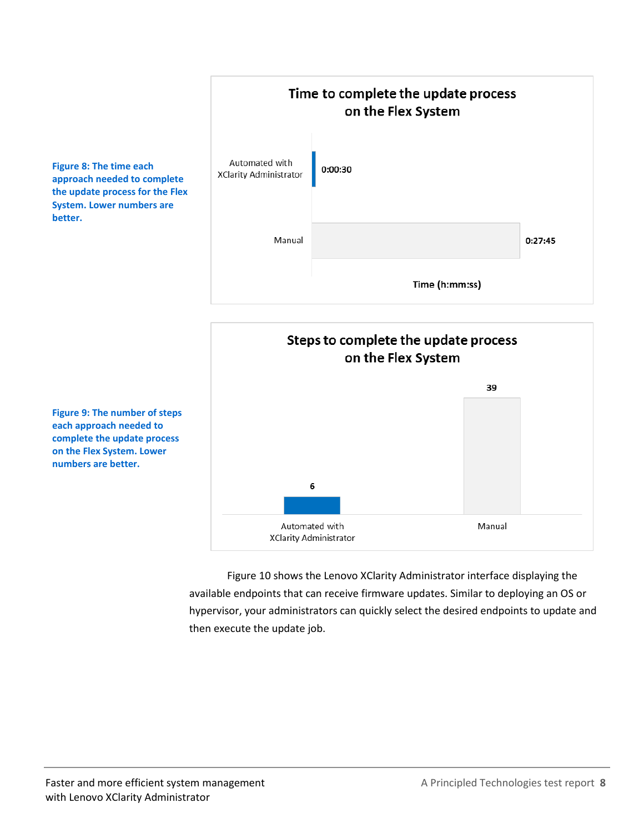



Figure 10 shows the Lenovo XClarity Administrator interface displaying the available endpoints that can receive firmware updates. Similar to deploying an OS or hypervisor, your administrators can quickly select the desired endpoints to update and then execute the update job.

**Figure 8: The time each approach needed to complete the update process for the Flex System. Lower numbers are better.**

**Figure 9: The number of steps each approach needed to complete the update process on the Flex System. Lower numbers are better.**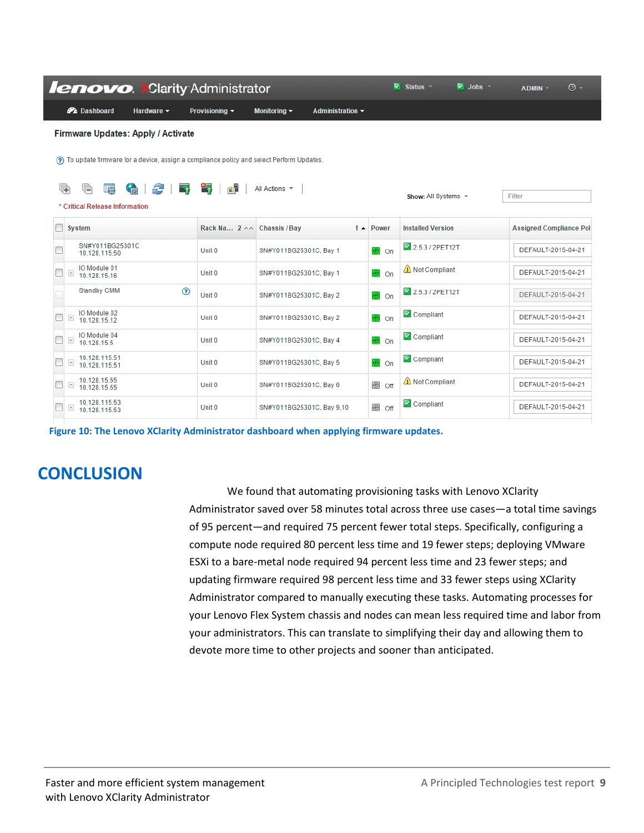| <b>lenovo. XClarity Administrator</b>                                                    |                                                                                             |                                            |                       | $\triangleright$ Status $\triangleright$ | $\overline{\mathbb{V}}$ Jobs $\overline{\mathbb{V}}$ | ADMIN -                        | $\odot$ - |
|------------------------------------------------------------------------------------------|---------------------------------------------------------------------------------------------|--------------------------------------------|-----------------------|------------------------------------------|------------------------------------------------------|--------------------------------|-----------|
| <b>P</b> Dashboard<br>Hardware -                                                         | Provisioning $\blacktriangledown$                                                           | Monitoring $\sim$<br>Administration $\sim$ |                       |                                          |                                                      |                                |           |
| <b>Firmware Updates: Apply / Activate</b>                                                |                                                                                             |                                            |                       |                                          |                                                      |                                |           |
|                                                                                          | (?) To update firmware for a device, assign a compliance policy and select Perform Updates. |                                            |                       |                                          |                                                      |                                |           |
|                                                                                          |                                                                                             |                                            |                       |                                          |                                                      |                                |           |
| æ<br>G<br>U)<br>U <sub>63</sub><br><b>Comment</b><br>清<br>* Critical Release Information | 85<br>역구                                                                                    | All Actions T                              |                       | Show: All Systems $\sim$                 |                                                      | Filter                         |           |
| <b>System</b>                                                                            | Rack Na 2 ^^ Chassis / Bay                                                                  | $1 -$                                      | Power                 | <b>Installed Version</b>                 |                                                      | <b>Assigned Compliance Pol</b> |           |
| SN#Y011BG25301C<br>10.128.115.50                                                         | Unit 0                                                                                      | SN#Y011BG25301C, Bay 1                     | ା® on                 | 2.5.3 / 2PET12T                          |                                                      | DEFAULT-2015-04-21             |           |
| IO Module 01<br>$\begin{array}{c} \hline \end{array}$<br>10.128.15.16                    | Unit 0                                                                                      | SN#Y011BG25301C, Bay 1                     | ම on                  | Not Compliant                            |                                                      | DEFAULT-2015-04-21             |           |
| <b>Standby CMM</b><br>$\circledcirc$                                                     | Unit 0                                                                                      | SN#Y011BG25301C, Bay 2                     | <b>®</b> on           | 2.5.3 / 2PET12T                          |                                                      | DEFAULT-2015-04-21             |           |
| IO Module 02<br>$\pm$<br>10 128 15 12                                                    | Unit 0                                                                                      | SN#Y011BG25301C, Bay 2                     | ®lon                  | Compliant                                |                                                      | DEFAULT-2015-04-21             |           |
| IO Module 04<br>$\pm$<br>10.128.15.5                                                     | Unit 0                                                                                      | SN#Y011BG25301C. Bay 4                     | <b>⊛</b> lon          | Compliant                                |                                                      | DEFAULT-2015-04-21             |           |
| 10.128.115.51<br>$\pm$<br>10.128.115.51                                                  | Unit 0                                                                                      | SN#Y011BG25301C, Bay 5                     | <b>⊘</b> on           | Compliant                                |                                                      | DEFAULT-2015-04-21             |           |
| 10.128.15.55<br>$\pm$<br>10.128.15.55                                                    | Unit 0                                                                                      | SN#Y011BG25301C, Bay 6                     | $\circledcirc$<br>Off | Not Compliant                            |                                                      | DEFAULT-2015-04-21             |           |
| 10.128.115.53<br>$\begin{array}{c} \pm \end{array}$<br>10.128.115.53                     | Unit 0                                                                                      | SN#Y011BG25301C, Bay 9,10                  |                       | Compliant                                |                                                      | DEFAULT-2015-04-21             |           |

**Figure 10: The Lenovo XClarity Administrator dashboard when applying firmware updates.**

## **CONCLUSION**

We found that automating provisioning tasks with Lenovo XClarity Administrator saved over 58 minutes total across three use cases—a total time savings of 95 percent—and required 75 percent fewer total steps. Specifically, configuring a compute node required 80 percent less time and 19 fewer steps; deploying VMware ESXi to a bare-metal node required 94 percent less time and 23 fewer steps; and updating firmware required 98 percent less time and 33 fewer steps using XClarity Administrator compared to manually executing these tasks. Automating processes for your Lenovo Flex System chassis and nodes can mean less required time and labor from your administrators. This can translate to simplifying their day and allowing them to devote more time to other projects and sooner than anticipated.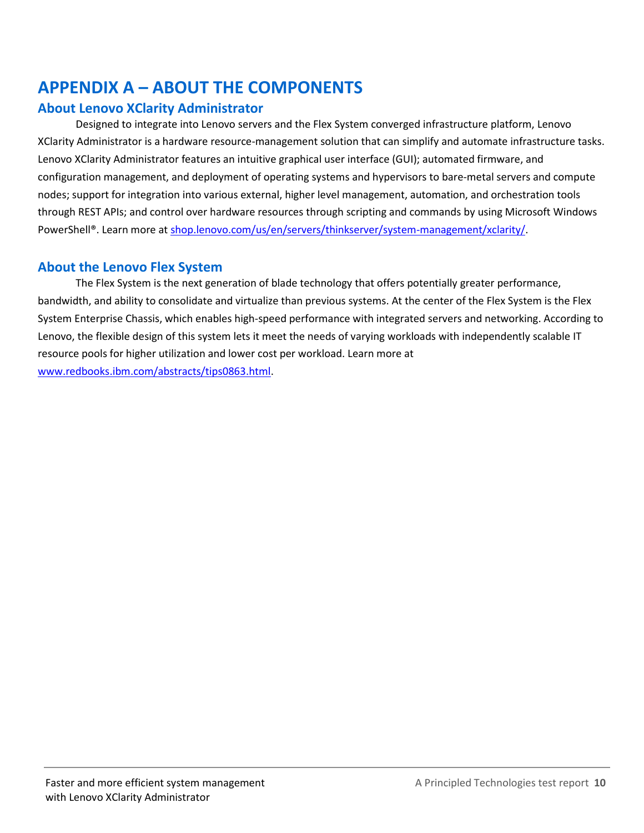## <span id="page-9-0"></span>**APPENDIX A – ABOUT THE COMPONENTS**

## **About Lenovo XClarity Administrator**

Designed to integrate into Lenovo servers and the Flex System converged infrastructure platform, Lenovo XClarity Administrator is a hardware resource-management solution that can simplify and automate infrastructure tasks. Lenovo XClarity Administrator features an intuitive graphical user interface (GUI); automated firmware, and configuration management, and deployment of operating systems and hypervisors to bare-metal servers and compute nodes; support for integration into various external, higher level management, automation, and orchestration tools through REST APIs; and control over hardware resources through scripting and commands by using Microsoft Windows PowerShell®. Learn more at [shop.lenovo.com/us/en/servers/thinkserver/system-management/xclarity/.](http://shop.lenovo.com/us/en/servers/thinkserver/system-management/xclarity/)

## **About the Lenovo Flex System**

The Flex System is the next generation of blade technology that offers potentially greater performance, bandwidth, and ability to consolidate and virtualize than previous systems. At the center of the Flex System is the Flex System Enterprise Chassis, which enables high-speed performance with integrated servers and networking. According to Lenovo, the flexible design of this system lets it meet the needs of varying workloads with independently scalable IT resource pools for higher utilization and lower cost per workload. Learn more at [www.redbooks.ibm.com/abstracts/tips0863.html.](http://www.redbooks.ibm.com/abstracts/tips0863.html)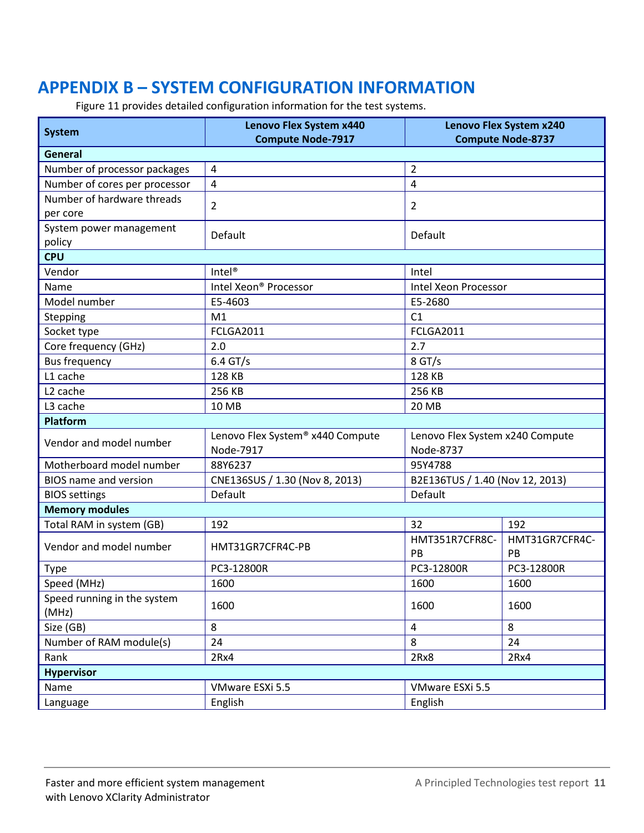## <span id="page-10-0"></span>**APPENDIX B – SYSTEM CONFIGURATION INFORMATION**

Figure 11 provides detailed configuration information for the test systems.

| <b>System</b>                          | <b>Lenovo Flex System x440</b><br>Lenovo Flex System x240 |                                 |                      |  |  |  |  |  |
|----------------------------------------|-----------------------------------------------------------|---------------------------------|----------------------|--|--|--|--|--|
|                                        | <b>Compute Node-7917</b><br><b>Compute Node-8737</b>      |                                 |                      |  |  |  |  |  |
| <b>General</b>                         |                                                           |                                 |                      |  |  |  |  |  |
| Number of processor packages           | $\overline{4}$                                            | $\overline{2}$                  |                      |  |  |  |  |  |
| Number of cores per processor          | $\overline{4}$                                            | 4                               |                      |  |  |  |  |  |
| Number of hardware threads<br>per core | 2                                                         | 2                               |                      |  |  |  |  |  |
| System power management<br>policy      | Default                                                   | Default                         |                      |  |  |  |  |  |
| <b>CPU</b>                             |                                                           |                                 |                      |  |  |  |  |  |
| Vendor                                 | Intel <sup>®</sup>                                        | Intel                           |                      |  |  |  |  |  |
| Name                                   | Intel Xeon® Processor                                     | Intel Xeon Processor            |                      |  |  |  |  |  |
| Model number                           | E5-4603                                                   | E5-2680                         |                      |  |  |  |  |  |
| Stepping                               | M1                                                        | C1                              |                      |  |  |  |  |  |
| Socket type                            | FCLGA2011                                                 | FCLGA2011                       |                      |  |  |  |  |  |
| Core frequency (GHz)                   | 2.0                                                       | 2.7                             |                      |  |  |  |  |  |
| <b>Bus frequency</b>                   | $6.4$ GT/s                                                | $8$ GT/s                        |                      |  |  |  |  |  |
| L1 cache                               | 128 KB                                                    | 128 KB                          |                      |  |  |  |  |  |
| L <sub>2</sub> cache                   | 256 KB                                                    | 256 KB                          |                      |  |  |  |  |  |
| L3 cache                               | 10 MB                                                     | 20 MB                           |                      |  |  |  |  |  |
| <b>Platform</b>                        |                                                           |                                 |                      |  |  |  |  |  |
|                                        | Lenovo Flex System® x440 Compute                          | Lenovo Flex System x240 Compute |                      |  |  |  |  |  |
| Vendor and model number                | Node-7917                                                 | Node-8737                       |                      |  |  |  |  |  |
| Motherboard model number               | 88Y6237                                                   | 95Y4788                         |                      |  |  |  |  |  |
| <b>BIOS</b> name and version           | CNE136SUS / 1.30 (Nov 8, 2013)                            | B2E136TUS / 1.40 (Nov 12, 2013) |                      |  |  |  |  |  |
| <b>BIOS</b> settings                   | Default                                                   | Default                         |                      |  |  |  |  |  |
| <b>Memory modules</b>                  |                                                           |                                 |                      |  |  |  |  |  |
| Total RAM in system (GB)               | 192                                                       | 32                              | 192                  |  |  |  |  |  |
| Vendor and model number                | HMT31GR7CFR4C-PB                                          | HMT351R7CFR8C-<br>PB            | HMT31GR7CFR4C-<br>PB |  |  |  |  |  |
| <b>Type</b>                            | PC3-12800R                                                | PC3-12800R                      | PC3-12800R           |  |  |  |  |  |
| Speed (MHz)                            | 1600                                                      | 1600                            | 1600                 |  |  |  |  |  |
| Speed running in the system<br>(MHz)   | 1600                                                      | 1600                            | 1600                 |  |  |  |  |  |
| Size (GB)                              | 8                                                         | $\overline{4}$<br>8             |                      |  |  |  |  |  |
| Number of RAM module(s)                | 24                                                        | 8<br>24                         |                      |  |  |  |  |  |
| Rank                                   | 2Rx4                                                      | 2Rx8<br>2Rx4                    |                      |  |  |  |  |  |
| <b>Hypervisor</b>                      |                                                           |                                 |                      |  |  |  |  |  |
| Name                                   | VMware ESXi 5.5                                           |                                 |                      |  |  |  |  |  |
| Language                               | English                                                   | VMware ESXi 5.5<br>English      |                      |  |  |  |  |  |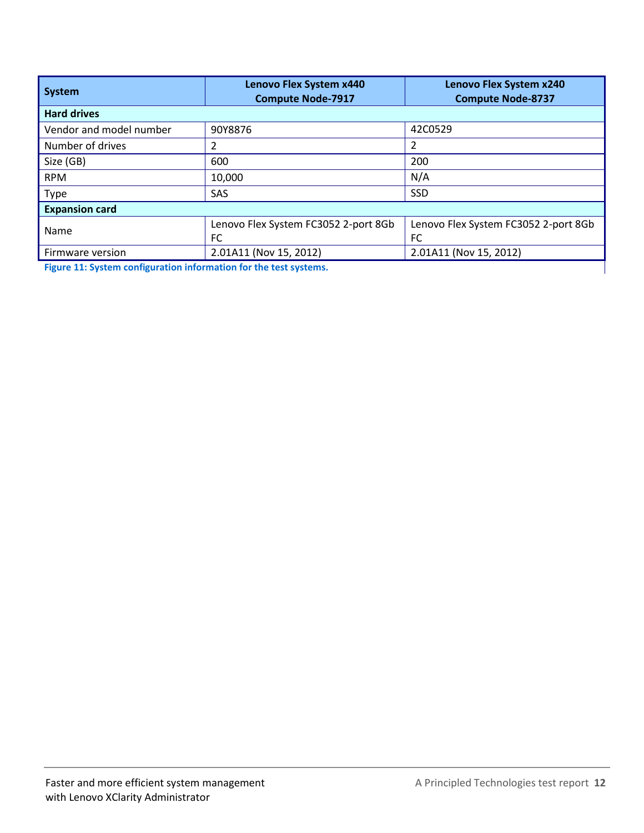| System                  | Lenovo Flex System x440<br><b>Compute Node-7917</b> | Lenovo Flex System x240<br><b>Compute Node-8737</b> |  |  |  |  |  |  |
|-------------------------|-----------------------------------------------------|-----------------------------------------------------|--|--|--|--|--|--|
| <b>Hard drives</b>      |                                                     |                                                     |  |  |  |  |  |  |
| Vendor and model number | 90Y8876                                             | 42C0529                                             |  |  |  |  |  |  |
| Number of drives        |                                                     | 2                                                   |  |  |  |  |  |  |
| Size (GB)               | 600                                                 | 200                                                 |  |  |  |  |  |  |
| <b>RPM</b>              | 10,000                                              | N/A                                                 |  |  |  |  |  |  |
| <b>Type</b>             | <b>SAS</b>                                          | <b>SSD</b>                                          |  |  |  |  |  |  |
| <b>Expansion card</b>   |                                                     |                                                     |  |  |  |  |  |  |
| Name                    | Lenovo Flex System FC3052 2-port 8Gb                | Lenovo Flex System FC3052 2-port 8Gb                |  |  |  |  |  |  |
|                         | FC                                                  | <b>FC</b>                                           |  |  |  |  |  |  |
| Firmware version        | 2.01A11 (Nov 15, 2012)                              | 2.01A11 (Nov 15, 2012)                              |  |  |  |  |  |  |

**Figure 11: System configuration information for the test systems.**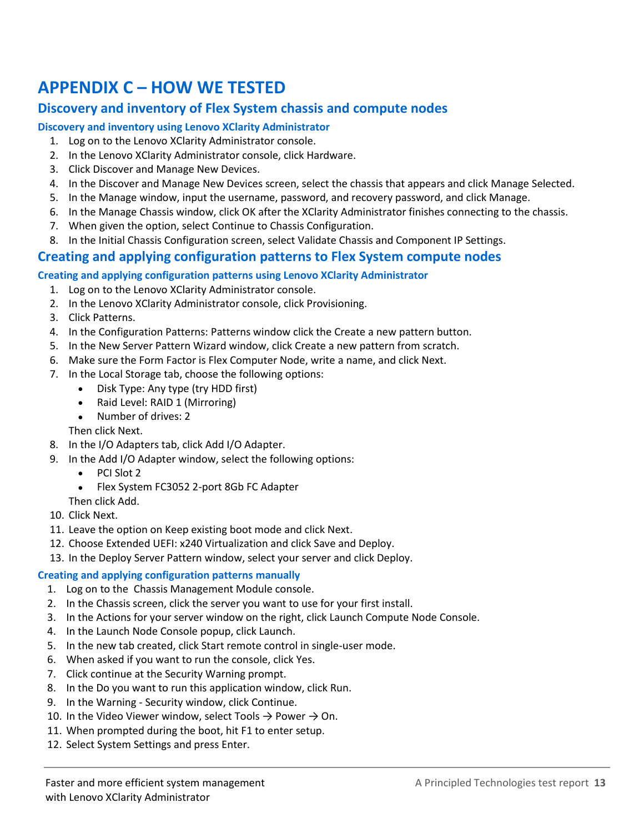## <span id="page-12-0"></span>**APPENDIX C – HOW WE TESTED**

## **Discovery and inventory of Flex System chassis and compute nodes**

#### **Discovery and inventory using Lenovo XClarity Administrator**

- 1. Log on to the Lenovo XClarity Administrator console.
- 2. In the Lenovo XClarity Administrator console, click Hardware.
- 3. Click Discover and Manage New Devices.
- 4. In the Discover and Manage New Devices screen, select the chassis that appears and click Manage Selected.
- 5. In the Manage window, input the username, password, and recovery password, and click Manage.
- 6. In the Manage Chassis window, click OK after the XClarity Administrator finishes connecting to the chassis.
- 7. When given the option, select Continue to Chassis Configuration.
- 8. In the Initial Chassis Configuration screen, select Validate Chassis and Component IP Settings.

## **Creating and applying configuration patterns to Flex System compute nodes**

#### **Creating and applying configuration patterns using Lenovo XClarity Administrator**

- 1. Log on to the Lenovo XClarity Administrator console.
- 2. In the Lenovo XClarity Administrator console, click Provisioning.
- 3. Click Patterns.
- 4. In the Configuration Patterns: Patterns window click the Create a new pattern button.
- 5. In the New Server Pattern Wizard window, click Create a new pattern from scratch.
- 6. Make sure the Form Factor is Flex Computer Node, write a name, and click Next.
- 7. In the Local Storage tab, choose the following options:
	- Disk Type: Any type (try HDD first)
	- Raid Level: RAID 1 (Mirroring)
	- Number of drives: 2
	- Then click Next.
- 8. In the I/O Adapters tab, click Add I/O Adapter.
- 9. In the Add I/O Adapter window, select the following options:
	- PCI Slot 2
	- Flex System FC3052 2-port 8Gb FC Adapter
	- Then click Add.
- 10. Click Next.
- 11. Leave the option on Keep existing boot mode and click Next.
- 12. Choose Extended UEFI: x240 Virtualization and click Save and Deploy.
- 13. In the Deploy Server Pattern window, select your server and click Deploy.

#### **Creating and applying configuration patterns manually**

- 1. Log on to the Chassis Management Module console.
- 2. In the Chassis screen, click the server you want to use for your first install.
- 3. In the Actions for your server window on the right, click Launch Compute Node Console.
- 4. In the Launch Node Console popup, click Launch.
- 5. In the new tab created, click Start remote control in single-user mode.
- 6. When asked if you want to run the console, click Yes.
- 7. Click continue at the Security Warning prompt.
- 8. In the Do you want to run this application window, click Run.
- 9. In the Warning Security window, click Continue.
- 10. In the Video Viewer window, select Tools  $\rightarrow$  Power  $\rightarrow$  On.
- 11. When prompted during the boot, hit F1 to enter setup.
- 12. Select System Settings and press Enter.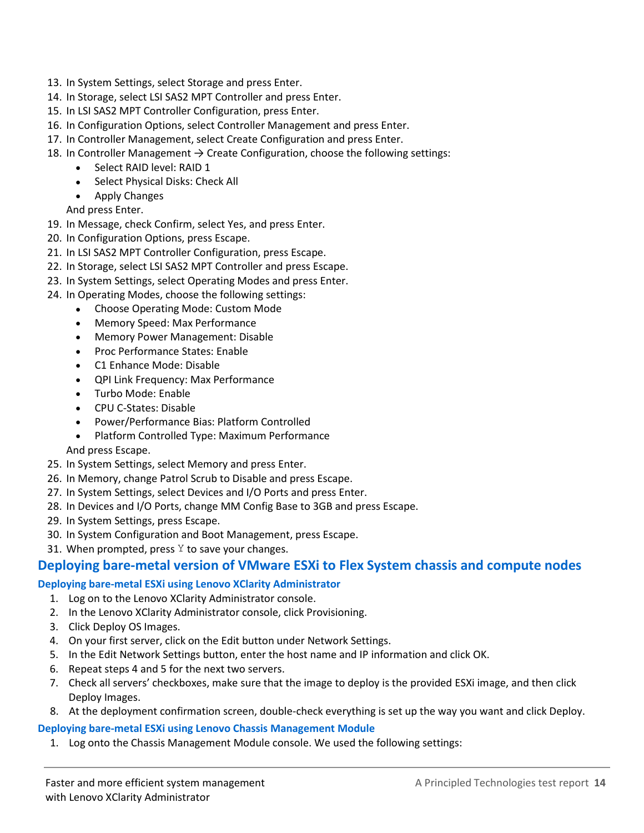- 13. In System Settings, select Storage and press Enter.
- 14. In Storage, select LSI SAS2 MPT Controller and press Enter.
- 15. In LSI SAS2 MPT Controller Configuration, press Enter.
- 16. In Configuration Options, select Controller Management and press Enter.
- 17. In Controller Management, select Create Configuration and press Enter.
- 18. In Controller Management  $\rightarrow$  Create Configuration, choose the following settings:
	- Select RAID level: RAID 1
	- Select Physical Disks: Check All
	- Apply Changes

And press Enter.

- 19. In Message, check Confirm, select Yes, and press Enter.
- 20. In Configuration Options, press Escape.
- 21. In LSI SAS2 MPT Controller Configuration, press Escape.
- 22. In Storage, select LSI SAS2 MPT Controller and press Escape.
- 23. In System Settings, select Operating Modes and press Enter.
- 24. In Operating Modes, choose the following settings:
	- Choose Operating Mode: Custom Mode
	- Memory Speed: Max Performance
	- Memory Power Management: Disable
	- Proc Performance States: Enable
	- C1 Enhance Mode: Disable
	- QPI Link Frequency: Max Performance
	- Turbo Mode: Enable
	- CPU C-States: Disable
	- Power/Performance Bias: Platform Controlled
	- Platform Controlled Type: Maximum Performance
	- And press Escape.
- 25. In System Settings, select Memory and press Enter.
- 26. In Memory, change Patrol Scrub to Disable and press Escape.
- 27. In System Settings, select Devices and I/O Ports and press Enter.
- 28. In Devices and I/O Ports, change MM Config Base to 3GB and press Escape.
- 29. In System Settings, press Escape.
- 30. In System Configuration and Boot Management, press Escape.
- 31. When prompted, press  $Y$  to save your changes.

## **Deploying bare-metal version of VMware ESXi to Flex System chassis and compute nodes**

#### **Deploying bare-metal ESXi using Lenovo XClarity Administrator**

- 1. Log on to the Lenovo XClarity Administrator console.
- 2. In the Lenovo XClarity Administrator console, click Provisioning.
- 3. Click Deploy OS Images.
- 4. On your first server, click on the Edit button under Network Settings.
- 5. In the Edit Network Settings button, enter the host name and IP information and click OK.
- 6. Repeat steps 4 and 5 for the next two servers.
- 7. Check all servers' checkboxes, make sure that the image to deploy is the provided ESXi image, and then click Deploy Images.
- 8. At the deployment confirmation screen, double-check everything is set up the way you want and click Deploy.

#### **Deploying bare-metal ESXi using Lenovo Chassis Management Module**

1. Log onto the Chassis Management Module console. We used the following settings: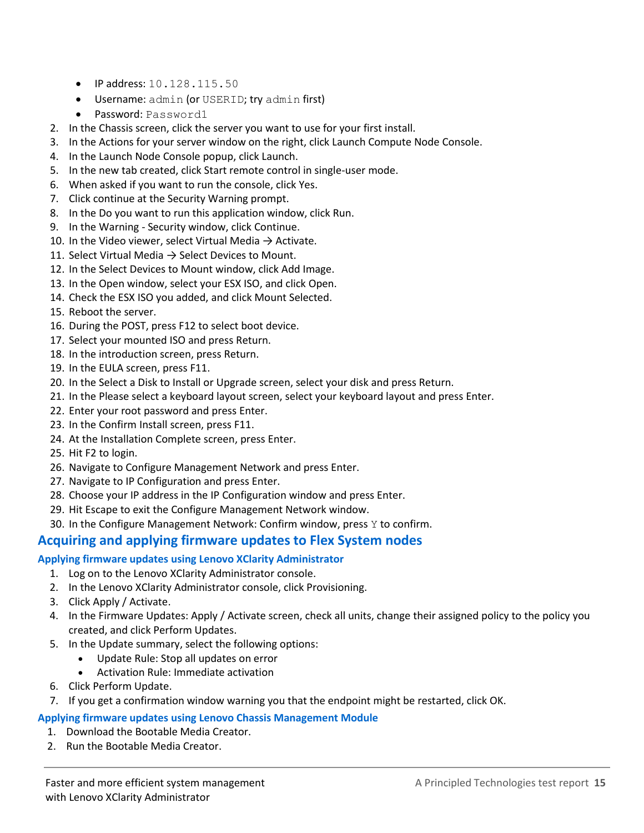- $\bullet$  IP address: 10.128.115.50
- Username: admin (or USERID; try admin first)
- Password: Password1
- 2. In the Chassis screen, click the server you want to use for your first install.
- 3. In the Actions for your server window on the right, click Launch Compute Node Console.
- 4. In the Launch Node Console popup, click Launch.
- 5. In the new tab created, click Start remote control in single-user mode.
- 6. When asked if you want to run the console, click Yes.
- 7. Click continue at the Security Warning prompt.
- 8. In the Do you want to run this application window, click Run.
- 9. In the Warning Security window, click Continue.
- 10. In the Video viewer, select Virtual Media  $\rightarrow$  Activate.
- 11. Select Virtual Media  $\rightarrow$  Select Devices to Mount.
- 12. In the Select Devices to Mount window, click Add Image.
- 13. In the Open window, select your ESX ISO, and click Open.
- 14. Check the ESX ISO you added, and click Mount Selected.
- 15. Reboot the server.
- 16. During the POST, press F12 to select boot device.
- 17. Select your mounted ISO and press Return.
- 18. In the introduction screen, press Return.
- 19. In the EULA screen, press F11.
- 20. In the Select a Disk to Install or Upgrade screen, select your disk and press Return.
- 21. In the Please select a keyboard layout screen, select your keyboard layout and press Enter.
- 22. Enter your root password and press Enter.
- 23. In the Confirm Install screen, press F11.
- 24. At the Installation Complete screen, press Enter.
- 25. Hit F2 to login.
- 26. Navigate to Configure Management Network and press Enter.
- 27. Navigate to IP Configuration and press Enter.
- 28. Choose your IP address in the IP Configuration window and press Enter.
- 29. Hit Escape to exit the Configure Management Network window.
- 30. In the Configure Management Network: Confirm window, press  $Y$  to confirm.

## **Acquiring and applying firmware updates to Flex System nodes**

#### **Applying firmware updates using Lenovo XClarity Administrator**

- 1. Log on to the Lenovo XClarity Administrator console.
- 2. In the Lenovo XClarity Administrator console, click Provisioning.
- 3. Click Apply / Activate.
- 4. In the Firmware Updates: Apply / Activate screen, check all units, change their assigned policy to the policy you created, and click Perform Updates.
- 5. In the Update summary, select the following options:
	- Update Rule: Stop all updates on error
	- Activation Rule: Immediate activation
- 6. Click Perform Update.
- 7. If you get a confirmation window warning you that the endpoint might be restarted, click OK.

#### **Applying firmware updates using Lenovo Chassis Management Module**

- 1. Download the Bootable Media Creator.
- 2. Run the Bootable Media Creator.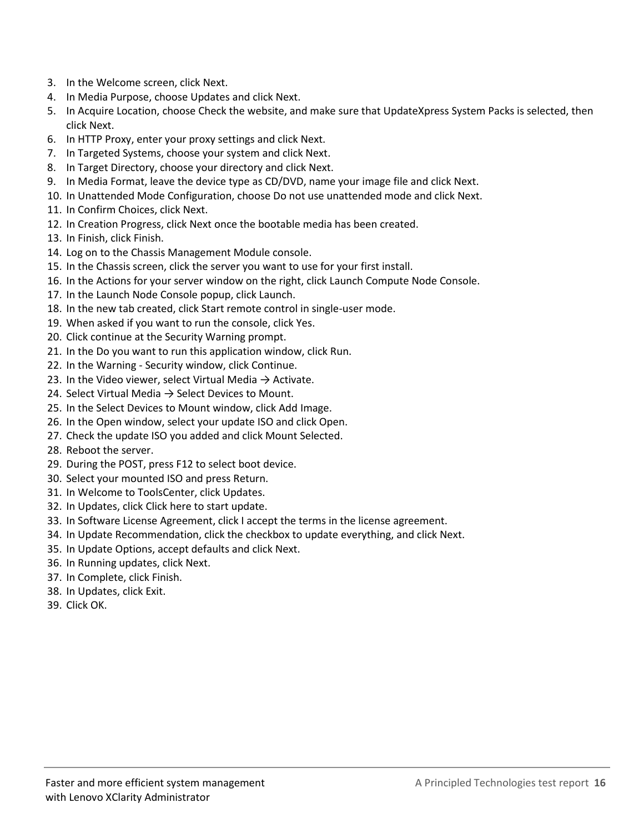- 3. In the Welcome screen, click Next.
- 4. In Media Purpose, choose Updates and click Next.
- 5. In Acquire Location, choose Check the website, and make sure that UpdateXpress System Packs is selected, then click Next.
- 6. In HTTP Proxy, enter your proxy settings and click Next.
- 7. In Targeted Systems, choose your system and click Next.
- 8. In Target Directory, choose your directory and click Next.
- 9. In Media Format, leave the device type as CD/DVD, name your image file and click Next.
- 10. In Unattended Mode Configuration, choose Do not use unattended mode and click Next.
- 11. In Confirm Choices, click Next.
- 12. In Creation Progress, click Next once the bootable media has been created.
- 13. In Finish, click Finish.
- 14. Log on to the Chassis Management Module console.
- 15. In the Chassis screen, click the server you want to use for your first install.
- 16. In the Actions for your server window on the right, click Launch Compute Node Console.
- 17. In the Launch Node Console popup, click Launch.
- 18. In the new tab created, click Start remote control in single-user mode.
- 19. When asked if you want to run the console, click Yes.
- 20. Click continue at the Security Warning prompt.
- 21. In the Do you want to run this application window, click Run.
- 22. In the Warning Security window, click Continue.
- 23. In the Video viewer, select Virtual Media  $\rightarrow$  Activate.
- 24. Select Virtual Media  $\rightarrow$  Select Devices to Mount.
- 25. In the Select Devices to Mount window, click Add Image.
- 26. In the Open window, select your update ISO and click Open.
- 27. Check the update ISO you added and click Mount Selected.
- 28. Reboot the server.
- 29. During the POST, press F12 to select boot device.
- 30. Select your mounted ISO and press Return.
- 31. In Welcome to ToolsCenter, click Updates.
- 32. In Updates, click Click here to start update.
- 33. In Software License Agreement, click I accept the terms in the license agreement.
- 34. In Update Recommendation, click the checkbox to update everything, and click Next.
- 35. In Update Options, accept defaults and click Next.
- 36. In Running updates, click Next.
- 37. In Complete, click Finish.
- 38. In Updates, click Exit.
- 39. Click OK.